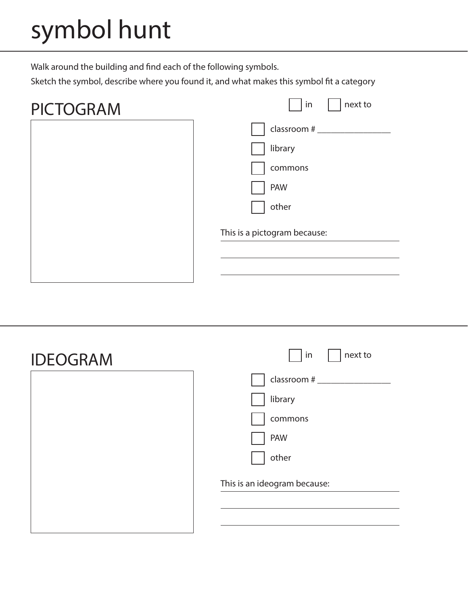## symbol hunt

Walk around the building and find each of the following symbols.

Sketch the symbol, describe where you found it, and what makes this symbol fit a category

| next to |
|---------|
|         |
|         |
|         |
|         |
|         |
|         |
|         |
|         |
|         |

| <b>IDEOGRAM</b> | next to<br>in                |
|-----------------|------------------------------|
|                 | classroom #                  |
|                 | library                      |
|                 | commons                      |
|                 | PAW                          |
|                 | other                        |
|                 | This is an ideogram because: |
|                 |                              |
|                 |                              |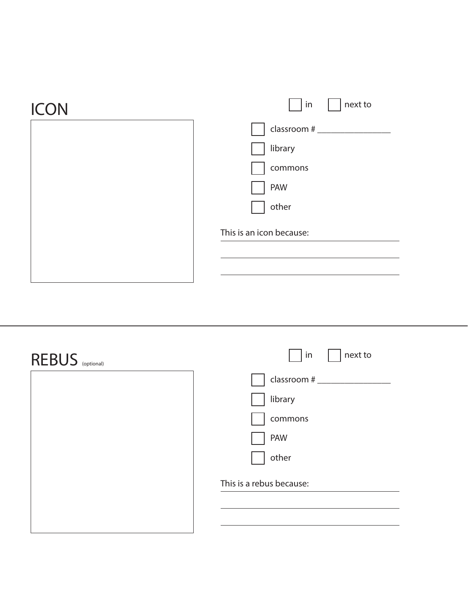| $ $ in<br>next to        |
|--------------------------|
| classroom #              |
| library                  |
| commons                  |
| PAW                      |
| other                    |
| This is an icon because: |
|                          |
|                          |
|                          |

| REBUS (optional) | next to<br>  in          |
|------------------|--------------------------|
|                  |                          |
|                  | library                  |
|                  | commons                  |
|                  | PAW                      |
|                  | other                    |
|                  | This is a rebus because: |
|                  |                          |
|                  |                          |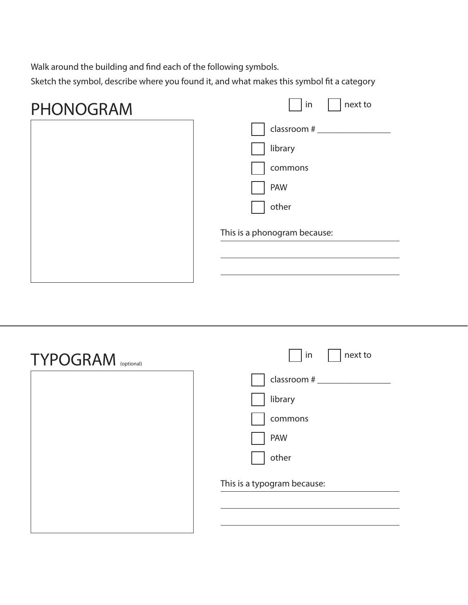Walk around the building and find each of the following symbols.

Sketch the symbol, describe where you found it, and what makes this symbol fit a category

 $\overline{a}$ 

| <b>PHONOGRAM</b> | in<br>next to                |
|------------------|------------------------------|
|                  | classroom $#$ ____           |
|                  | library                      |
|                  | commons                      |
|                  | PAW                          |
|                  | other                        |
|                  | This is a phonogram because: |
|                  |                              |
|                  |                              |

| <b>TYPOGRAM</b> (optional) | next to<br>in               |
|----------------------------|-----------------------------|
|                            |                             |
|                            | library                     |
|                            | commons                     |
|                            | <b>PAW</b>                  |
|                            | other                       |
|                            | This is a typogram because: |
|                            |                             |
|                            |                             |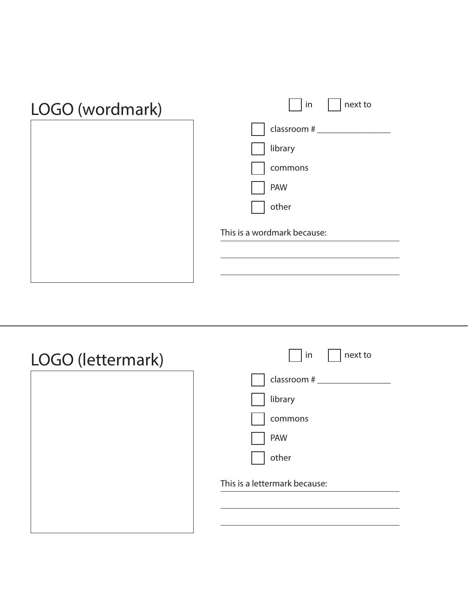| LOGO (wordmark) | next to<br>in               |
|-----------------|-----------------------------|
|                 | classroom #                 |
|                 | library                     |
|                 | commons                     |
|                 | <b>PAW</b>                  |
|                 | other                       |
|                 | This is a wordmark because: |
|                 |                             |
|                 |                             |

| LOGO (lettermark) | next to<br>in                 |
|-------------------|-------------------------------|
|                   | classroom #                   |
|                   | library                       |
|                   | commons                       |
|                   | <b>PAW</b>                    |
|                   | other                         |
|                   | This is a lettermark because: |
|                   |                               |
|                   |                               |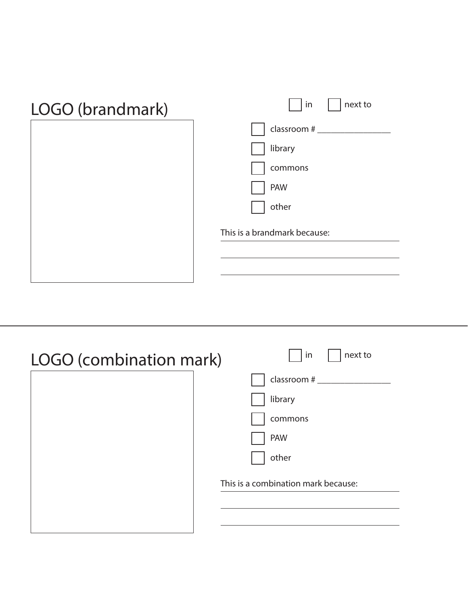| LOGO (brandmark) | next to<br>in                |
|------------------|------------------------------|
|                  | classroom #                  |
|                  | library                      |
|                  | commons                      |
|                  | PAW                          |
|                  | other                        |
|                  | This is a brandmark because: |
|                  |                              |
|                  |                              |

| LOGO (combination mark) | next to<br>in                       |
|-------------------------|-------------------------------------|
|                         | classroom #                         |
|                         | library                             |
|                         | commons                             |
|                         | <b>PAW</b>                          |
|                         | other                               |
|                         | This is a combination mark because: |
|                         |                                     |
|                         |                                     |